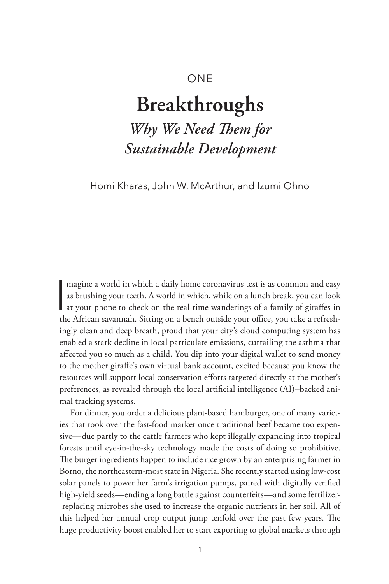# ONE

# **Breakthroughs**

*Why We Need Them for Sustainable Development*

Homi Kharas, John W. McArthur, and Izumi Ohno

magine a world in which a daily home coronavirus test is as common and easy<br>as brushing your teeth. A world in which, while on a lunch break, you can look<br>at your phone to check on the real-time wanderings of a family of g magine a world in which a daily home coronavirus test is as common and easy as brushing your teeth. A world in which, while on a lunch break, you can look the African savannah. Sitting on a bench outside your office, you take a refreshingly clean and deep breath, proud that your city's cloud computing system has enabled a stark decline in local particulate emissions, curtailing the asthma that affected you so much as a child. You dip into your digital wallet to send money to the mother giraffe's own virtual bank account, excited because you know the resources will support local conservation efforts targeted directly at the mother's preferences, as revealed through the local artificial intelligence (AI)–backed animal tracking systems.

For dinner, you order a delicious plant-based hamburger, one of many varieties that took over the fast-food market once traditional beef became too expensive—due partly to the cattle farmers who kept illegally expanding into tropical forests until eye-in-the-sky technology made the costs of doing so prohibitive. The burger ingredients happen to include rice grown by an enterprising farmer in Borno, the northeastern-most state in Nigeria. She recently started using low-cost solar panels to power her farm's irrigation pumps, paired with digitally verified high-yield seeds—ending a long battle against counterfeits—and some fertilizer- -replacing microbes she used to increase the organic nutrients in her soil. All of this helped her annual crop output jump tenfold over the past few years. The huge productivity boost enabled her to start exporting to global markets through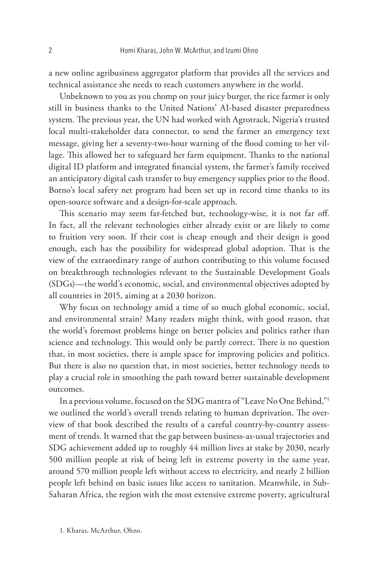a new online agribusiness aggregator platform that provides all the services and technical assistance she needs to reach customers anywhere in the world.

Unbeknown to you as you chomp on your juicy burger, the rice farmer is only still in business thanks to the United Nations' AI-based disaster preparedness system. The previous year, the UN had worked with Agrotrack, Nigeria's trusted local multi-stakeholder data connector, to send the farmer an emergency text message, giving her a seventy-two-hour warning of the flood coming to her village. This allowed her to safeguard her farm equipment. Thanks to the national digital ID platform and integrated financial system, the farmer's family received an anticipatory digital cash transfer to buy emergency supplies prior to the flood. Borno's local safety net program had been set up in record time thanks to its open-source software and a design-for-scale approach.

This scenario may seem far-fetched but, technology-wise, it is not far off. In fact, all the relevant technologies either already exist or are likely to come to fruition very soon. If their cost is cheap enough and their design is good enough, each has the possibility for widespread global adoption. That is the view of the extraordinary range of authors contributing to this volume focused on breakthrough technologies relevant to the Sustainable Development Goals (SDGs)—the world's economic, social, and environmental objectives adopted by all countries in 2015, aiming at a 2030 horizon.

Why focus on technology amid a time of so much global economic, social, and environmental strain? Many readers might think, with good reason, that the world's foremost problems hinge on better policies and politics rather than science and technology. This would only be partly correct. There is no question that, in most societies, there is ample space for improving policies and politics. But there is also no question that, in most societies, better technology needs to play a crucial role in smoothing the path toward better sustainable development outcomes.

In a previous volume, focused on the SDG mantra of "Leave No One Behind,"1 we outlined the world's overall trends relating to human deprivation. The overview of that book described the results of a careful country-by-country assessment of trends. It warned that the gap between business-as-usual trajectories and SDG achievement added up to roughly 44 million lives at stake by 2030, nearly 500 million people at risk of being left in extreme poverty in the same year, around 570 million people left without access to electricity, and nearly 2 billion people left behind on basic issues like access to sanitation. Meanwhile, in Sub-Saharan Africa, the region with the most extensive extreme poverty, agricultural

1. Kharas, McArthur, Ohno.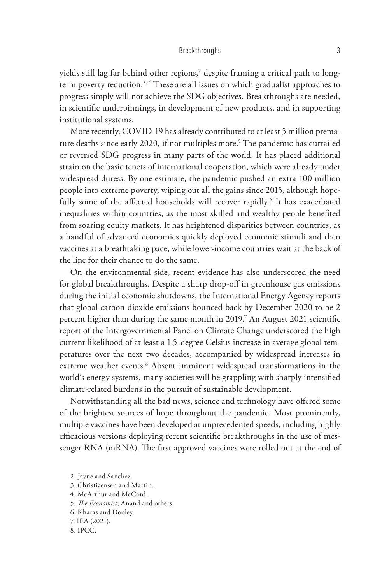yields still lag far behind other regions, $^2$  despite framing a critical path to longterm poverty reduction.<sup>3, 4</sup> These are all issues on which gradualist approaches to progress simply will not achieve the SDG objectives. Breakthroughs are needed, in scientific underpinnings, in development of new products, and in supporting institutional systems.

More recently, COVID-19 has already contributed to at least 5 million premature deaths since early 2020, if not multiples more.<sup>5</sup> The pandemic has curtailed or reversed SDG progress in many parts of the world. It has placed additional strain on the basic tenets of international cooperation, which were already under widespread duress. By one estimate, the pandemic pushed an extra 100 million people into extreme poverty, wiping out all the gains since 2015, although hopefully some of the affected households will recover rapidly.<sup>6</sup> It has exacerbated inequalities within countries, as the most skilled and wealthy people benefited from soaring equity markets. It has heightened disparities between countries, as a handful of advanced economies quickly deployed economic stimuli and then vaccines at a breathtaking pace, while lower-income countries wait at the back of the line for their chance to do the same.

On the environmental side, recent evidence has also underscored the need for global breakthroughs. Despite a sharp drop-off in greenhouse gas emissions during the initial economic shutdowns, the International Energy Agency reports that global carbon dioxide emissions bounced back by December 2020 to be 2 percent higher than during the same month in 2019.7 An August 2021 scientific report of the Intergovernmental Panel on Climate Change underscored the high current likelihood of at least a 1.5-degree Celsius increase in average global temperatures over the next two decades, accompanied by widespread increases in extreme weather events.<sup>8</sup> Absent imminent widespread transformations in the world's energy systems, many societies will be grappling with sharply intensified climate-related burdens in the pursuit of sustainable development.

Notwithstanding all the bad news, science and technology have offered some of the brightest sources of hope throughout the pandemic. Most prominently, multiple vaccines have been developed at unprecedented speeds, including highly efficacious versions deploying recent scientific breakthroughs in the use of messenger RNA (mRNA). The first approved vaccines were rolled out at the end of

- 3. Christiaensen and Martin.
- 4. McArthur and McCord.
- 5. *The Economist*; Anand and others.
- 6. Kharas and Dooley.
- 7. IEA (2021).
- 8. IPCC.

<sup>2.</sup> Jayne and Sanchez.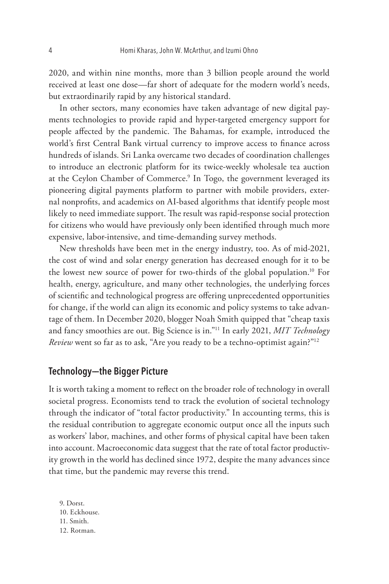2020, and within nine months, more than 3 billion people around the world received at least one dose—far short of adequate for the modern world's needs, but extraordinarily rapid by any historical standard.

In other sectors, many economies have taken advantage of new digital payments technologies to provide rapid and hyper-targeted emergency support for people affected by the pandemic. The Bahamas, for example, introduced the world's first Central Bank virtual currency to improve access to finance across hundreds of islands. Sri Lanka overcame two decades of coordination challenges to introduce an electronic platform for its twice-weekly wholesale tea auction at the Ceylon Chamber of Commerce.<sup>9</sup> In Togo, the government leveraged its pioneering digital payments platform to partner with mobile providers, external nonprofits, and academics on AI-based algorithms that identify people most likely to need immediate support. The result was rapid-response social protection for citizens who would have previously only been identified through much more expensive, labor-intensive, and time-demanding survey methods.

New thresholds have been met in the energy industry, too. As of mid-2021, the cost of wind and solar energy generation has decreased enough for it to be the lowest new source of power for two-thirds of the global population.10 For health, energy, agriculture, and many other technologies, the underlying forces of scientific and technological progress are offering unprecedented opportunities for change, if the world can align its economic and policy systems to take advantage of them. In December 2020, blogger Noah Smith quipped that "cheap taxis and fancy smoothies are out. Big Science is in."11 In early 2021, *MIT Technology Review* went so far as to ask, "Are you ready to be a techno-optimist again?"12

## **Technology--the Bigger Picture**

It is worth taking a moment to reflect on the broader role of technology in overall societal progress. Economists tend to track the evolution of societal technology through the indicator of "total factor productivity." In accounting terms, this is the residual contribution to aggregate economic output once all the inputs such as workers' labor, machines, and other forms of physical capital have been taken into account. Macroeconomic data suggest that the rate of total factor productivity growth in the world has declined since 1972, despite the many advances since that time, but the pandemic may reverse this trend.

9. Dorst. 10. Eckhouse. 11. Smith. 12. Rotman.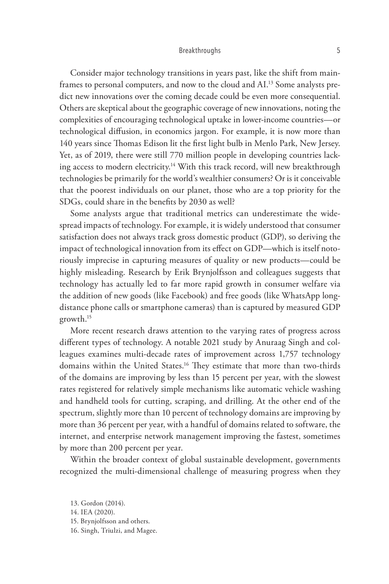Consider major technology transitions in years past, like the shift from mainframes to personal computers, and now to the cloud and AI.13 Some analysts predict new innovations over the coming decade could be even more consequential. Others are skeptical about the geographic coverage of new innovations, noting the complexities of encouraging technological uptake in lower-income countries—or technological diffusion, in economics jargon. For example, it is now more than 140 years since Thomas Edison lit the first light bulb in Menlo Park, New Jersey. Yet, as of 2019, there were still 770 million people in developing countries lacking access to modern electricity.<sup>14</sup> With this track record, will new breakthrough technologies be primarily for the world's wealthier consumers? Or is it conceivable that the poorest individuals on our planet, those who are a top priority for the SDGs, could share in the benefits by 2030 as well?

Some analysts argue that traditional metrics can underestimate the widespread impacts of technology. For example, it is widely understood that consumer satisfaction does not always track gross domestic product (GDP), so deriving the impact of technological innovation from its effect on GDP—which is itself notoriously imprecise in capturing measures of quality or new products—could be highly misleading. Research by Erik Brynjolfsson and colleagues suggests that technology has actually led to far more rapid growth in consumer welfare via the addition of new goods (like Facebook) and free goods (like WhatsApp longdistance phone calls or smartphone cameras) than is captured by measured GDP growth.15

More recent research draws attention to the varying rates of progress across different types of technology. A notable 2021 study by Anuraag Singh and colleagues examines multi-decade rates of improvement across 1,757 technology domains within the United States.<sup>16</sup> They estimate that more than two-thirds of the domains are improving by less than 15 percent per year, with the slowest rates registered for relatively simple mechanisms like automatic vehicle washing and handheld tools for cutting, scraping, and drilling. At the other end of the spectrum, slightly more than 10 percent of technology domains are improving by more than 36 percent per year, with a handful of domains related to software, the internet, and enterprise network management improving the fastest, sometimes by more than 200 percent per year.

Within the broader context of global sustainable development, governments recognized the multi-dimensional challenge of measuring progress when they

- 15. Brynjolfsson and others.
- 16. Singh, Triulzi, and Magee.

<sup>13.</sup> Gordon (2014).

<sup>14.</sup> IEA (2020).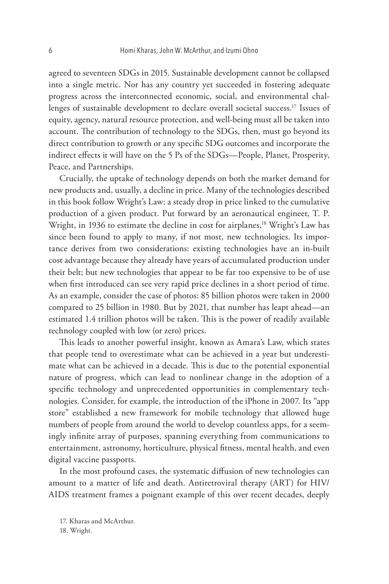agreed to seventeen SDGs in 2015. Sustainable development cannot be collapsed into a single metric. Nor has any country yet succeeded in fostering adequate progress across the interconnected economic, social, and environmental challenges of sustainable development to declare overall societal success.<sup>17</sup> Issues of equity, agency, natural resource protection, and well-being must all be taken into account. The contribution of technology to the SDGs, then, must go beyond its direct contribution to growth or any specific SDG outcomes and incorporate the indirect effects it will have on the 5 Ps of the SDGs—People, Planet, Prosperity, Peace, and Partnerships.

Crucially, the uptake of technology depends on both the market demand for new products and, usually, a decline in price. Many of the technologies described in this book follow Wright's Law: a steady drop in price linked to the cumulative production of a given product. Put forward by an aeronautical engineer, T. P. Wright, in 1936 to estimate the decline in cost for airplanes,<sup>18</sup> Wright's Law has since been found to apply to many, if not most, new technologies. Its importance derives from two considerations: existing technologies have an in-built cost advantage because they already have years of accumulated production under their belt; but new technologies that appear to be far too expensive to be of use when first introduced can see very rapid price declines in a short period of time. As an example, consider the case of photos: 85 billion photos were taken in 2000 compared to 25 billion in 1980. But by 2021, that number has leapt ahead—an estimated 1.4 trillion photos will be taken. This is the power of readily available technology coupled with low (or zero) prices.

This leads to another powerful insight, known as Amara's Law, which states that people tend to overestimate what can be achieved in a year but underestimate what can be achieved in a decade. This is due to the potential exponential nature of progress, which can lead to nonlinear change in the adoption of a specific technology and unprecedented opportunities in complementary technologies. Consider, for example, the introduction of the iPhone in 2007. Its "app store" established a new framework for mobile technology that allowed huge numbers of people from around the world to develop countless apps, for a seemingly infinite array of purposes, spanning everything from communications to entertainment, astronomy, horticulture, physical fitness, mental health, and even digital vaccine passports.

In the most profound cases, the systematic diffusion of new technologies can amount to a matter of life and death. Antiretroviral therapy (ART) for HIV/ AIDS treatment frames a poignant example of this over recent decades, deeply

<sup>17.</sup> Kharas and McArthur.

<sup>18.</sup> Wright.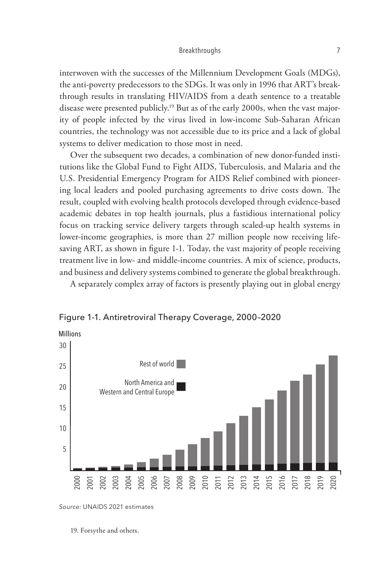interwoven with the successes of the Millennium Development Goals (MDGs), the anti-poverty predecessors to the SDGs. It was only in 1996 that ART's breakthrough results in translating HIV/AIDS from a death sentence to a treatable disease were presented publicly.<sup>19</sup> But as of the early 2000s, when the vast majority of people infected by the virus lived in low-income Sub-Saharan African countries, the technology was not accessible due to its price and a lack of global systems to deliver medication to those most in need.

Over the subsequent two decades, a combination of new donor-funded institutions like the Global Fund to Fight AIDS, Tuberculosis, and Malaria and the U.S. Presidential Emergency Program for AIDS Relief combined with pioneering local leaders and pooled purchasing agreements to drive costs down. The result, coupled with evolving health protocols developed through evidence-based academic debates in top health journals, plus a fastidious international policy focus on tracking service delivery targets through scaled-up health systems in lower-income geographies, is more than 27 million people now receiving lifesaving ART, as shown in figure 1-1. Today, the vast majority of people receiving treatment live in low- and middle-income countries. A mix of science, products, and business and delivery systems combined to generate the global breakthrough.

A separately complex array of factors is presently playing out in global energy





*Source:* UNAIDS 2021 estimates

19. Forsythe and others.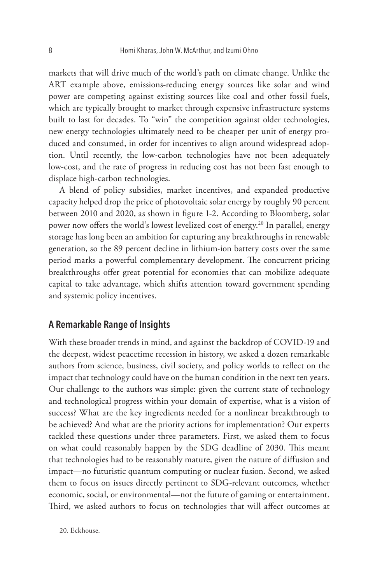markets that will drive much of the world's path on climate change. Unlike the ART example above, emissions-reducing energy sources like solar and wind power are competing against existing sources like coal and other fossil fuels, which are typically brought to market through expensive infrastructure systems built to last for decades. To "win" the competition against older technologies, new energy technologies ultimately need to be cheaper per unit of energy produced and consumed, in order for incentives to align around widespread adoption. Until recently, the low-carbon technologies have not been adequately low-cost, and the rate of progress in reducing cost has not been fast enough to displace high-carbon technologies.

A blend of policy subsidies, market incentives, and expanded productive capacity helped drop the price of photovoltaic solar energy by roughly 90 percent between 2010 and 2020, as shown in figure 1-2. According to Bloomberg, solar power now offers the world's lowest levelized cost of energy.20 In parallel, energy storage has long been an ambition for capturing any breakthroughs in renewable generation, so the 89 percent decline in lithium-ion battery costs over the same period marks a powerful complementary development. The concurrent pricing breakthroughs offer great potential for economies that can mobilize adequate capital to take advantage, which shifts attention toward government spending and systemic policy incentives.

# **A Remarkable Range of Insights**

With these broader trends in mind, and against the backdrop of COVID-19 and the deepest, widest peacetime recession in history, we asked a dozen remarkable authors from science, business, civil society, and policy worlds to reflect on the impact that technology could have on the human condition in the next ten years. Our challenge to the authors was simple: given the current state of technology and technological progress within your domain of expertise, what is a vision of success? What are the key ingredients needed for a nonlinear breakthrough to be achieved? And what are the priority actions for implementation? Our experts tackled these questions under three parameters. First, we asked them to focus on what could reasonably happen by the SDG deadline of 2030. This meant that technologies had to be reasonably mature, given the nature of diffusion and impact—no futuristic quantum computing or nuclear fusion. Second, we asked them to focus on issues directly pertinent to SDG-relevant outcomes, whether economic, social, or environmental—not the future of gaming or entertainment. Third, we asked authors to focus on technologies that will affect outcomes at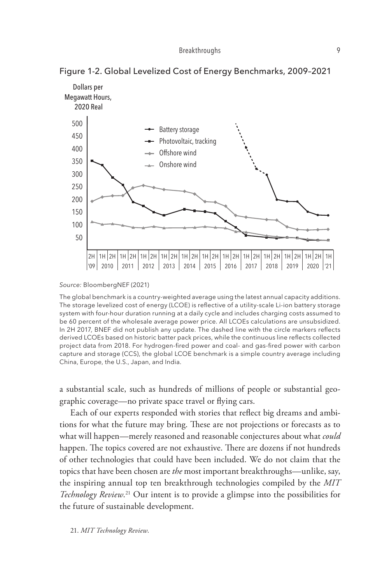

Figure 1-2. Global Levelized Cost of Energy Benchmarks, 2009–2021

*Source:* BloombergNEF (2021)

The global benchmark is a country-weighted average using the latest annual capacity additions. The storage levelized cost of energy (LCOE) is reflective of a utility-scale Li-ion battery storage system with four-hour duration running at a daily cycle and includes charging costs assumed to be 60 percent of the wholesale average power price. All LCOEs calculations are unsubsidized. In 2H 2017, BNEF did not publish any update. The dashed line with the circle markers reflects derived LCOEs based on historic batter pack prices, while the continuous line reflects collected project data from 2018. For hydrogen-fired power and coal- and gas-fired power with carbon capture and storage (CCS), the global LCOE benchmark is a simple country average including China, Europe, the U.S., Japan, and India.

a substantial scale, such as hundreds of millions of people or substantial geographic coverage—no private space travel or flying cars.

Each of our experts responded with stories that reflect big dreams and ambi-*Fiat contingent on protection/performance* tions for what the future may bring. These are not projections or forecasts as to what will happen—merely reasoned and reasonable conjectures about what *could* happen. The topics covered are not exhaustive. There are dozens if not hundreds of other technologies that could have been included. We do not claim that the topics that have been chosen are *the* most important breakthroughs—unlike, say, the inspiring annual top ten breakthrough technologies compiled by the *MIT Technology Review*. 21 Our intent is to provide a glimpse into the possibilities for the future of sustainable development.

21. *MIT Technology Review*.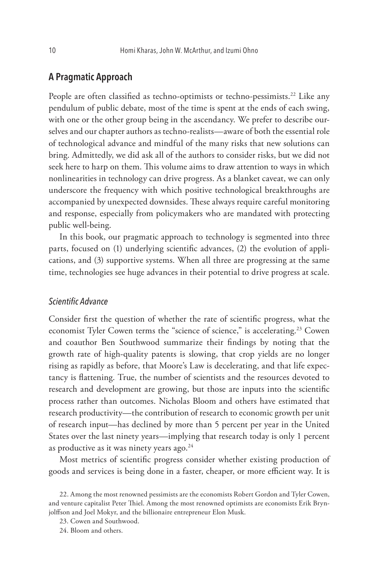## **A Pragmatic Approach**

People are often classified as techno-optimists or techno-pessimists.<sup>22</sup> Like any pendulum of public debate, most of the time is spent at the ends of each swing, with one or the other group being in the ascendancy. We prefer to describe ourselves and our chapter authors as techno-realists—aware of both the essential role of technological advance and mindful of the many risks that new solutions can bring. Admittedly, we did ask all of the authors to consider risks, but we did not seek here to harp on them. This volume aims to draw attention to ways in which nonlinearities in technology can drive progress. As a blanket caveat, we can only underscore the frequency with which positive technological breakthroughs are accompanied by unexpected downsides. These always require careful monitoring and response, especially from policymakers who are mandated with protecting public well-being.

In this book, our pragmatic approach to technology is segmented into three parts, focused on (1) underlying scientific advances, (2) the evolution of applications, and (3) supportive systems. When all three are progressing at the same time, technologies see huge advances in their potential to drive progress at scale.

## *Scientific Advance*

Consider first the question of whether the rate of scientific progress, what the economist Tyler Cowen terms the "science of science," is accelerating.<sup>23</sup> Cowen and coauthor Ben Southwood summarize their findings by noting that the growth rate of high-quality patents is slowing, that crop yields are no longer rising as rapidly as before, that Moore's Law is decelerating, and that life expectancy is flattening. True, the number of scientists and the resources devoted to research and development are growing, but those are inputs into the scientific process rather than outcomes. Nicholas Bloom and others have estimated that research productivity—the contribution of research to economic growth per unit of research input—has declined by more than 5 percent per year in the United States over the last ninety years—implying that research today is only 1 percent as productive as it was ninety years ago.<sup>24</sup>

Most metrics of scientific progress consider whether existing production of goods and services is being done in a faster, cheaper, or more efficient way. It is

<sup>22.</sup> Among the most renowned pessimists are the economists Robert Gordon and Tyler Cowen, and venture capitalist Peter Thiel. Among the most renowned optimists are economists Erik Brynjolffson and Joel Mokyr, and the billionaire entrepreneur Elon Musk.

<sup>23.</sup> Cowen and Southwood.

<sup>24.</sup> Bloom and others.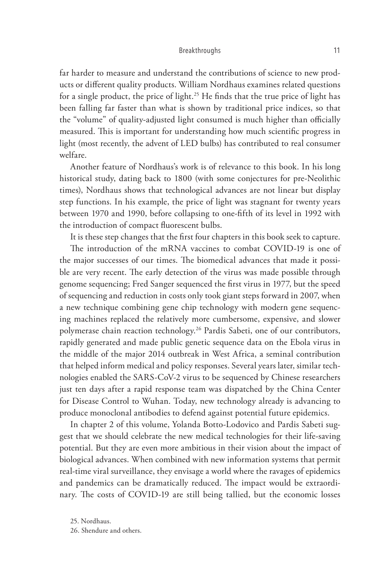far harder to measure and understand the contributions of science to new products or different quality products. William Nordhaus examines related questions for a single product, the price of light.<sup>25</sup> He finds that the true price of light has been falling far faster than what is shown by traditional price indices, so that the "volume" of quality-adjusted light consumed is much higher than officially measured. This is important for understanding how much scientific progress in light (most recently, the advent of LED bulbs) has contributed to real consumer welfare.

Another feature of Nordhaus's work is of relevance to this book. In his long historical study, dating back to 1800 (with some conjectures for pre-Neolithic times), Nordhaus shows that technological advances are not linear but display step functions. In his example, the price of light was stagnant for twenty years between 1970 and 1990, before collapsing to one-fifth of its level in 1992 with the introduction of compact fluorescent bulbs.

It is these step changes that the first four chapters in this book seek to capture.

The introduction of the mRNA vaccines to combat COVID-19 is one of the major successes of our times. The biomedical advances that made it possible are very recent. The early detection of the virus was made possible through genome sequencing; Fred Sanger sequenced the first virus in 1977, but the speed of sequencing and reduction in costs only took giant steps forward in 2007, when a new technique combining gene chip technology with modern gene sequencing machines replaced the relatively more cumbersome, expensive, and slower polymerase chain reaction technology.<sup>26</sup> Pardis Sabeti, one of our contributors, rapidly generated and made public genetic sequence data on the Ebola virus in the middle of the major 2014 outbreak in West Africa, a seminal contribution that helped inform medical and policy responses. Several years later, similar technologies enabled the SARS-CoV-2 virus to be sequenced by Chinese researchers just ten days after a rapid response team was dispatched by the China Center for Disease Control to Wuhan. Today, new technology already is advancing to produce monoclonal antibodies to defend against potential future epidemics.

In chapter 2 of this volume, Yolanda Botto-Lodovico and Pardis Sabeti suggest that we should celebrate the new medical technologies for their life-saving potential. But they are even more ambitious in their vision about the impact of biological advances. When combined with new information systems that permit real-time viral surveillance, they envisage a world where the ravages of epidemics and pandemics can be dramatically reduced. The impact would be extraordinary. The costs of COVID-19 are still being tallied, but the economic losses

25. Nordhaus.

26. Shendure and others.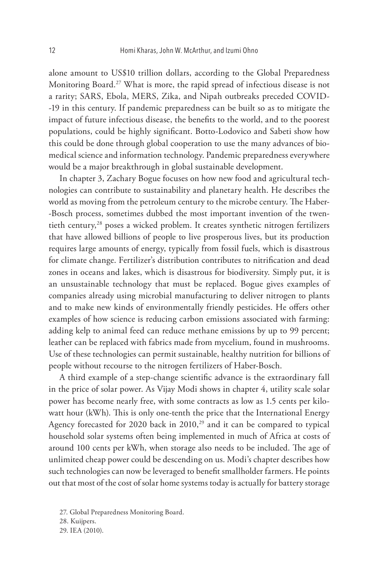alone amount to US\$10 trillion dollars, according to the Global Preparedness Monitoring Board.<sup>27</sup> What is more, the rapid spread of infectious disease is not a rarity; SARS, Ebola, MERS, Zika, and Nipah outbreaks preceded COVID- -19 in this century. If pandemic preparedness can be built so as to mitigate the impact of future infectious disease, the benefits to the world, and to the poorest populations, could be highly significant. Botto-Lodovico and Sabeti show how this could be done through global cooperation to use the many advances of biomedical science and information technology. Pandemic preparedness everywhere would be a major breakthrough in global sustainable development.

In chapter 3, Zachary Bogue focuses on how new food and agricultural technologies can contribute to sustainability and planetary health. He describes the world as moving from the petroleum century to the microbe century. The Haber- -Bosch process, sometimes dubbed the most important invention of the twentieth century,<sup>28</sup> poses a wicked problem. It creates synthetic nitrogen fertilizers that have allowed billions of people to live prosperous lives, but its production requires large amounts of energy, typically from fossil fuels, which is disastrous for climate change. Fertilizer's distribution contributes to nitrification and dead zones in oceans and lakes, which is disastrous for biodiversity. Simply put, it is an unsustainable technology that must be replaced. Bogue gives examples of companies already using microbial manufacturing to deliver nitrogen to plants and to make new kinds of environmentally friendly pesticides. He offers other examples of how science is reducing carbon emissions associated with farming: adding kelp to animal feed can reduce methane emissions by up to 99 percent; leather can be replaced with fabrics made from mycelium, found in mushrooms. Use of these technologies can permit sustainable, healthy nutrition for billions of people without recourse to the nitrogen fertilizers of Haber-Bosch.

A third example of a step-change scientific advance is the extraordinary fall in the price of solar power. As Vijay Modi shows in chapter 4, utility scale solar power has become nearly free, with some contracts as low as 1.5 cents per kilowatt hour (kWh). This is only one-tenth the price that the International Energy Agency forecasted for 2020 back in  $2010$ ,<sup>29</sup> and it can be compared to typical household solar systems often being implemented in much of Africa at costs of around 100 cents per kWh, when storage also needs to be included. The age of unlimited cheap power could be descending on us. Modi's chapter describes how such technologies can now be leveraged to benefit smallholder farmers. He points out that most of the cost of solar home systems today is actually for battery storage

27. Global Preparedness Monitoring Board. 28. Kuijpers. 29. IEA (2010).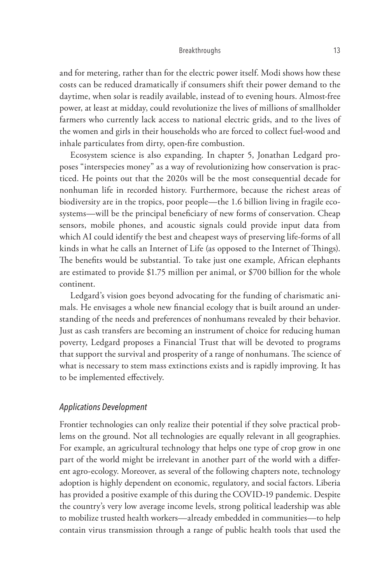and for metering, rather than for the electric power itself. Modi shows how these costs can be reduced dramatically if consumers shift their power demand to the daytime, when solar is readily available, instead of to evening hours. Almost-free power, at least at midday, could revolutionize the lives of millions of smallholder farmers who currently lack access to national electric grids, and to the lives of the women and girls in their households who are forced to collect fuel-wood and inhale particulates from dirty, open-fire combustion.

Ecosystem science is also expanding. In chapter 5, Jonathan Ledgard proposes "interspecies money" as a way of revolutionizing how conservation is practiced. He points out that the 2020s will be the most consequential decade for nonhuman life in recorded history. Furthermore, because the richest areas of biodiversity are in the tropics, poor people—the 1.6 billion living in fragile ecosystems—will be the principal beneficiary of new forms of conservation. Cheap sensors, mobile phones, and acoustic signals could provide input data from which AI could identify the best and cheapest ways of preserving life-forms of all kinds in what he calls an Internet of Life (as opposed to the Internet of Things). The benefits would be substantial. To take just one example, African elephants are estimated to provide \$1.75 million per animal, or \$700 billion for the whole continent.

Ledgard's vision goes beyond advocating for the funding of charismatic animals. He envisages a whole new financial ecology that is built around an understanding of the needs and preferences of nonhumans revealed by their behavior. Just as cash transfers are becoming an instrument of choice for reducing human poverty, Ledgard proposes a Financial Trust that will be devoted to programs that support the survival and prosperity of a range of nonhumans. The science of what is necessary to stem mass extinctions exists and is rapidly improving. It has to be implemented effectively.

## *Applications Development*

Frontier technologies can only realize their potential if they solve practical problems on the ground. Not all technologies are equally relevant in all geographies. For example, an agricultural technology that helps one type of crop grow in one part of the world might be irrelevant in another part of the world with a different agro-ecology. Moreover, as several of the following chapters note, technology adoption is highly dependent on economic, regulatory, and social factors. Liberia has provided a positive example of this during the COVID-19 pandemic. Despite the country's very low average income levels, strong political leadership was able to mobilize trusted health workers—already embedded in communities—to help contain virus transmission through a range of public health tools that used the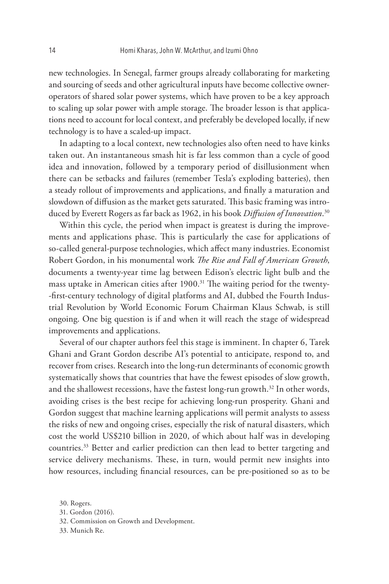new technologies. In Senegal, farmer groups already collaborating for marketing and sourcing of seeds and other agricultural inputs have become collective owneroperators of shared solar power systems, which have proven to be a key approach to scaling up solar power with ample storage. The broader lesson is that applications need to account for local context, and preferably be developed locally, if new technology is to have a scaled-up impact.

In adapting to a local context, new technologies also often need to have kinks taken out. An instantaneous smash hit is far less common than a cycle of good idea and innovation, followed by a temporary period of disillusionment when there can be setbacks and failures (remember Tesla's exploding batteries), then a steady rollout of improvements and applications, and finally a maturation and slowdown of diffusion as the market gets saturated. This basic framing was introduced by Everett Rogers as far back as 1962, in his book *Diffusion of Innovation*. 30

Within this cycle, the period when impact is greatest is during the improvements and applications phase. This is particularly the case for applications of so-called general-purpose technologies, which affect many industries. Economist Robert Gordon, in his monumental work *The Rise and Fall of American Growth*, documents a twenty-year time lag between Edison's electric light bulb and the mass uptake in American cities after 1900.<sup>31</sup> The waiting period for the twenty--first-century technology of digital platforms and AI, dubbed the Fourth Industrial Revolution by World Economic Forum Chairman Klaus Schwab, is still ongoing. One big question is if and when it will reach the stage of widespread improvements and applications.

Several of our chapter authors feel this stage is imminent. In chapter 6, Tarek Ghani and Grant Gordon describe AI's potential to anticipate, respond to, and recover from crises. Research into the long-run determinants of economic growth systematically shows that countries that have the fewest episodes of slow growth, and the shallowest recessions, have the fastest long-run growth.<sup>32</sup> In other words, avoiding crises is the best recipe for achieving long-run prosperity. Ghani and Gordon suggest that machine learning applications will permit analysts to assess the risks of new and ongoing crises, especially the risk of natural disasters, which cost the world US\$210 billion in 2020, of which about half was in developing countries.33 Better and earlier prediction can then lead to better targeting and service delivery mechanisms. These, in turn, would permit new insights into how resources, including financial resources, can be pre-positioned so as to be

32. Commission on Growth and Development.

33. Munich Re.

<sup>30.</sup> Rogers.

<sup>31.</sup> Gordon (2016).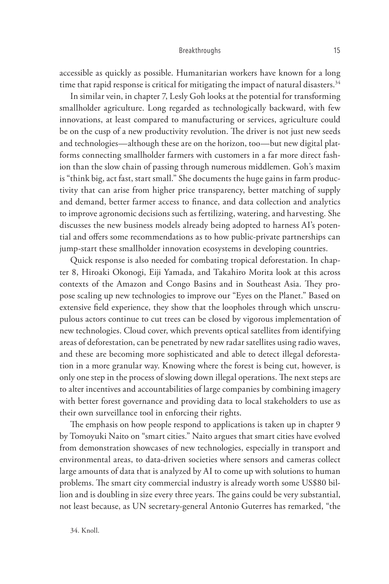accessible as quickly as possible. Humanitarian workers have known for a long time that rapid response is critical for mitigating the impact of natural disasters. $34$ 

In similar vein, in chapter 7, Lesly Goh looks at the potential for transforming smallholder agriculture. Long regarded as technologically backward, with few innovations, at least compared to manufacturing or services, agriculture could be on the cusp of a new productivity revolution. The driver is not just new seeds and technologies—although these are on the horizon, too—but new digital platforms connecting smallholder farmers with customers in a far more direct fashion than the slow chain of passing through numerous middlemen. Goh's maxim is "think big, act fast, start small." She documents the huge gains in farm productivity that can arise from higher price transparency, better matching of supply and demand, better farmer access to finance, and data collection and analytics to improve agronomic decisions such as fertilizing, watering, and harvesting. She discusses the new business models already being adopted to harness AI's potential and offers some recommendations as to how public-private partnerships can jump-start these smallholder innovation ecosystems in developing countries.

Quick response is also needed for combating tropical deforestation. In chapter 8, Hiroaki Okonogi, Eiji Yamada, and Takahiro Morita look at this across contexts of the Amazon and Congo Basins and in Southeast Asia. They propose scaling up new technologies to improve our "Eyes on the Planet." Based on extensive field experience, they show that the loopholes through which unscrupulous actors continue to cut trees can be closed by vigorous implementation of new technologies. Cloud cover, which prevents optical satellites from identifying areas of deforestation, can be penetrated by new radar satellites using radio waves, and these are becoming more sophisticated and able to detect illegal deforestation in a more granular way. Knowing where the forest is being cut, however, is only one step in the process of slowing down illegal operations. The next steps are to alter incentives and accountabilities of large companies by combining imagery with better forest governance and providing data to local stakeholders to use as their own surveillance tool in enforcing their rights.

The emphasis on how people respond to applications is taken up in chapter 9 by Tomoyuki Naito on "smart cities." Naito argues that smart cities have evolved from demonstration showcases of new technologies, especially in transport and environmental areas, to data-driven societies where sensors and cameras collect large amounts of data that is analyzed by AI to come up with solutions to human problems. The smart city commercial industry is already worth some US\$80 billion and is doubling in size every three years. The gains could be very substantial, not least because, as UN secretary-general Antonio Guterres has remarked, "the

34. Knoll.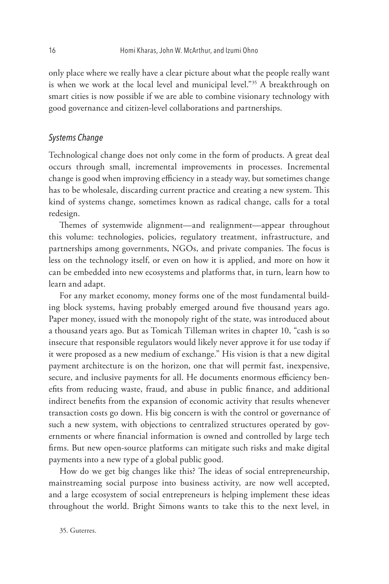only place where we really have a clear picture about what the people really want is when we work at the local level and municipal level."<sup>35</sup> A breakthrough on smart cities is now possible if we are able to combine visionary technology with good governance and citizen-level collaborations and partnerships.

## *Systems Change*

Technological change does not only come in the form of products. A great deal occurs through small, incremental improvements in processes. Incremental change is good when improving efficiency in a steady way, but sometimes change has to be wholesale, discarding current practice and creating a new system. This kind of systems change, sometimes known as radical change, calls for a total redesign.

Themes of systemwide alignment—and realignment—appear throughout this volume: technologies, policies, regulatory treatment, infrastructure, and partnerships among governments, NGOs, and private companies. The focus is less on the technology itself, or even on how it is applied, and more on how it can be embedded into new ecosystems and platforms that, in turn, learn how to learn and adapt.

For any market economy, money forms one of the most fundamental building block systems, having probably emerged around five thousand years ago. Paper money, issued with the monopoly right of the state, was introduced about a thousand years ago. But as Tomicah Tilleman writes in chapter 10, "cash is so insecure that responsible regulators would likely never approve it for use today if it were proposed as a new medium of exchange." His vision is that a new digital payment architecture is on the horizon, one that will permit fast, inexpensive, secure, and inclusive payments for all. He documents enormous efficiency benefits from reducing waste, fraud, and abuse in public finance, and additional indirect benefits from the expansion of economic activity that results whenever transaction costs go down. His big concern is with the control or governance of such a new system, with objections to centralized structures operated by governments or where financial information is owned and controlled by large tech firms. But new open-source platforms can mitigate such risks and make digital payments into a new type of a global public good.

How do we get big changes like this? The ideas of social entrepreneurship, mainstreaming social purpose into business activity, are now well accepted, and a large ecosystem of social entrepreneurs is helping implement these ideas throughout the world. Bright Simons wants to take this to the next level, in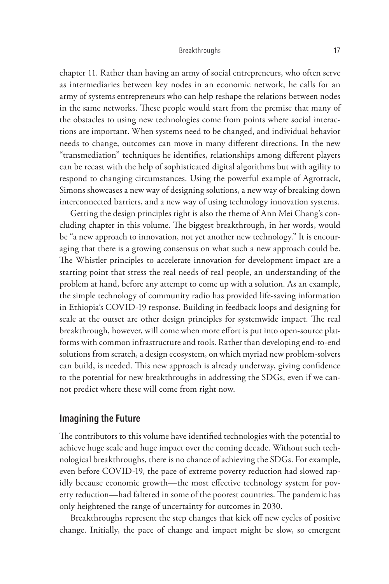chapter 11. Rather than having an army of social entrepreneurs, who often serve as intermediaries between key nodes in an economic network, he calls for an army of systems entrepreneurs who can help reshape the relations between nodes in the same networks. These people would start from the premise that many of the obstacles to using new technologies come from points where social interactions are important. When systems need to be changed, and individual behavior needs to change, outcomes can move in many different directions. In the new "transmediation" techniques he identifies, relationships among different players can be recast with the help of sophisticated digital algorithms but with agility to respond to changing circumstances. Using the powerful example of Agrotrack, Simons showcases a new way of designing solutions, a new way of breaking down interconnected barriers, and a new way of using technology innovation systems.

Getting the design principles right is also the theme of Ann Mei Chang's concluding chapter in this volume. The biggest breakthrough, in her words, would be "a new approach to innovation, not yet another new technology." It is encouraging that there is a growing consensus on what such a new approach could be. The Whistler principles to accelerate innovation for development impact are a starting point that stress the real needs of real people, an understanding of the problem at hand, before any attempt to come up with a solution. As an example, the simple technology of community radio has provided life-saving information in Ethiopia's COVID-19 response. Building in feedback loops and designing for scale at the outset are other design principles for systemwide impact. The real breakthrough, however, will come when more effort is put into open-source platforms with common infrastructure and tools. Rather than developing end-to-end solutions from scratch, a design ecosystem, on which myriad new problem-solvers can build, is needed. This new approach is already underway, giving confidence to the potential for new breakthroughs in addressing the SDGs, even if we cannot predict where these will come from right now.

# **Imagining the Future**

The contributors to this volume have identified technologies with the potential to achieve huge scale and huge impact over the coming decade. Without such technological breakthroughs, there is no chance of achieving the SDGs. For example, even before COVID-19, the pace of extreme poverty reduction had slowed rapidly because economic growth—the most effective technology system for poverty reduction—had faltered in some of the poorest countries. The pandemic has only heightened the range of uncertainty for outcomes in 2030.

Breakthroughs represent the step changes that kick off new cycles of positive change. Initially, the pace of change and impact might be slow, so emergent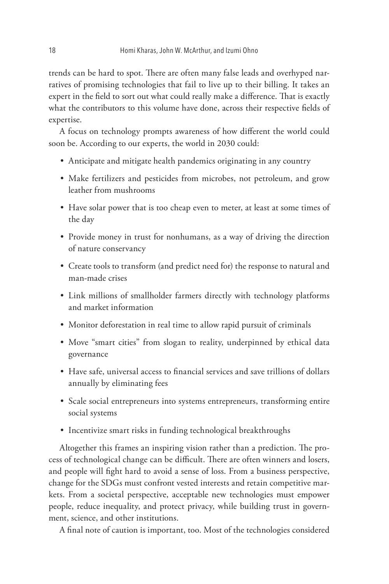trends can be hard to spot. There are often many false leads and overhyped narratives of promising technologies that fail to live up to their billing. It takes an expert in the field to sort out what could really make a difference. That is exactly what the contributors to this volume have done, across their respective fields of expertise.

A focus on technology prompts awareness of how different the world could soon be. According to our experts, the world in 2030 could:

- Anticipate and mitigate health pandemics originating in any country
- Make fertilizers and pesticides from microbes, not petroleum, and grow leather from mushrooms
- Have solar power that is too cheap even to meter, at least at some times of the day
- Provide money in trust for nonhumans, as a way of driving the direction of nature conservancy
- Create tools to transform (and predict need for) the response to natural and man-made crises
- Link millions of smallholder farmers directly with technology platforms and market information
- Monitor deforestation in real time to allow rapid pursuit of criminals
- Move "smart cities" from slogan to reality, underpinned by ethical data governance
- Have safe, universal access to financial services and save trillions of dollars annually by eliminating fees
- Scale social entrepreneurs into systems entrepreneurs, transforming entire social systems
- Incentivize smart risks in funding technological breakthroughs

Altogether this frames an inspiring vision rather than a prediction. The process of technological change can be difficult. There are often winners and losers, and people will fight hard to avoid a sense of loss. From a business perspective, change for the SDGs must confront vested interests and retain competitive markets. From a societal perspective, acceptable new technologies must empower people, reduce inequality, and protect privacy, while building trust in government, science, and other institutions.

A final note of caution is important, too. Most of the technologies considered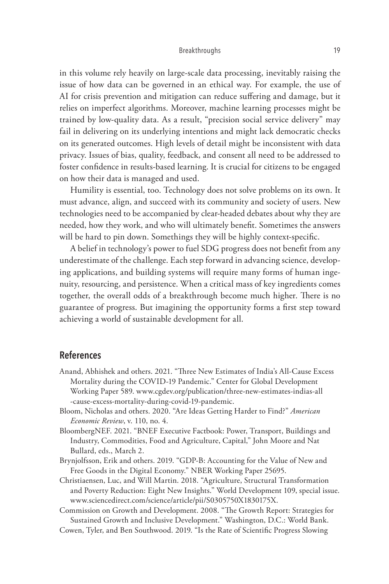in this volume rely heavily on large-scale data processing, inevitably raising the issue of how data can be governed in an ethical way. For example, the use of AI for crisis prevention and mitigation can reduce suffering and damage, but it relies on imperfect algorithms. Moreover, machine learning processes might be trained by low-quality data. As a result, "precision social service delivery" may fail in delivering on its underlying intentions and might lack democratic checks on its generated outcomes. High levels of detail might be inconsistent with data privacy. Issues of bias, quality, feedback, and consent all need to be addressed to foster confidence in results-based learning. It is crucial for citizens to be engaged on how their data is managed and used.

Humility is essential, too. Technology does not solve problems on its own. It must advance, align, and succeed with its community and society of users. New technologies need to be accompanied by clear-headed debates about why they are needed, how they work, and who will ultimately benefit. Sometimes the answers will be hard to pin down. Somethings they will be highly context-specific.

A belief in technology's power to fuel SDG progress does not benefit from any underestimate of the challenge. Each step forward in advancing science, developing applications, and building systems will require many forms of human ingenuity, resourcing, and persistence. When a critical mass of key ingredients comes together, the overall odds of a breakthrough become much higher. There is no guarantee of progress. But imagining the opportunity forms a first step toward achieving a world of sustainable development for all.

## **References**

- Anand, Abhishek and others. 2021. "Three New Estimates of India's All-Cause Excess Mortality during the COVID-19 Pandemic." Center for Global Development Working Paper 589. www.cgdev.org/publication/three-new-estimates-indias-all -cause-excess-mortality-during-covid-19-pandemic.
- Bloom, Nicholas and others. 2020. "Are Ideas Getting Harder to Find?" *American Economic Review*, v. 110, no. 4.
- BloombergNEF. 2021. "BNEF Executive Factbook: Power, Transport, Buildings and Industry, Commodities, Food and Agriculture, Capital," John Moore and Nat Bullard, eds., March 2.
- Brynjolfsson, Erik and others. 2019. "GDP-B: Accounting for the Value of New and Free Goods in the Digital Economy." NBER Working Paper 25695.
- Christiaensen, Luc, and Will Martin. 2018. "Agriculture, Structural Transformation and Poverty Reduction: Eight New Insights." World Development 109, special issue. www.sciencedirect.com/science/article/pii/S0305750X1830175X.

Commission on Growth and Development. 2008. "The Growth Report: Strategies for Sustained Growth and Inclusive Development." Washington, D.C.: World Bank.

Cowen, Tyler, and Ben Southwood. 2019. "Is the Rate of Scientific Progress Slowing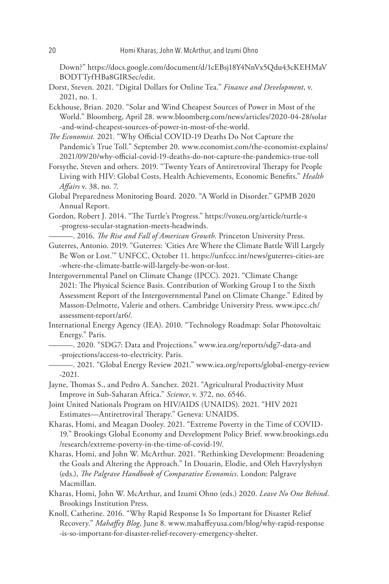Down?" https://docs.google.com/document/d/1cEBsj18Y4NnVx5Qdu43cKEHMaV BODTTyfHBa8GIRSec/edit.

Dorst, Steven. 2021. "Digital Dollars for Online Tea." *Finance and Development*, v. 2021, no. 1.

Eckhouse, Brian. 2020. "Solar and Wind Cheapest Sources of Power in Most of the World." Bloomberg, April 28. www.bloomberg.com/news/articles/2020-04-28/solar -and-wind-cheapest-sources-of-power-in-most-of-the-world.

*The Economist.* 2021. "Why Official COVID-19 Deaths Do Not Capture the Pandemic's True Toll." September 20. www.economist.com/the-economist-explains/ 2021/09/20/why-official-covid-19-deaths-do-not-capture-the-pandemics-true-toll

Forsythe, Steven and others. 2019. "Twenty Years of Antiretroviral Therapy for People Living with HIV: Global Costs, Health Achievements, Economic Benefits." *Health Affairs* v. 38, no. 7.

Global Preparedness Monitoring Board. 2020. "A World in Disorder." GPMB 2020 Annual Report.

Gordon, Robert J. 2014. "The Turtle's Progress." https://voxeu.org/article/turtle-s -progress-secular-stagnation-meets-headwinds.

———. 2016. *The Rise and Fall of American Growth.* Princeton University Press.

- Guterres, Antonio. 2019. "Guterres: 'Cities Are Where the Climate Battle Will Largely Be Won or Lost.'" UNFCC, October 11. https://unfccc.int/news/guterres-cities-are -where-the-climate-battle-will-largely-be-won-or-lost.
- Intergovernmental Panel on Climate Change (IPCC). 2021. "Climate Change 2021: The Physical Science Basis. Contribution of Working Group I to the Sixth Assessment Report of the Intergovernmental Panel on Climate Change." Edited by Masson-Delmotte, Valerie and others. Cambridge University Press. www.ipcc.ch/ assessment-report/ar6/.
- International Energy Agency (IEA). 2010. "Technology Roadmap: Solar Photovoltaic Energy." Paris.
	- ———. 2020. "SDG7: Data and Projections." www.iea.org/reports/sdg7-data-and -projections/access-to-electricity. Paris.
	- ———. 2021. "Global Energy Review 2021." www.iea.org/reports/global-energy-review -2021.
- Jayne, Thomas S., and Pedro A. Sanchez. 2021. "Agricultural Productivity Must Improve in Sub-Saharan Africa." *Science*, v. 372, no. 6546.

Joint United Nationals Program on HIV/AIDS (UNAIDS). 2021. "HIV 2021 Estimates—Antiretroviral Therapy." Geneva: UNAIDS.

Kharas, Homi, and Meagan Dooley. 2021. "Extreme Poverty in the Time of COVID-19." Brookings Global Economy and Development Policy Brief. www.brookings.edu /research/extreme-poverty-in-the-time-of-covid-19/.

- Kharas, Homi, and John W. McArthur. 2021. "Rethinking Development: Broadening the Goals and Altering the Approach." In Douarin, Elodie, and Oleh Havrylyshyn (eds.), *The Palgrave Handbook of Comparative Economics*. London: Palgrave Macmillan.
- Kharas, Homi, John W. McArthur, and Izumi Ohno (eds.) 2020. *Leave No One Behind*. Brookings Institution Press.
- Knoll, Catherine. 2016. "Why Rapid Response Is So Important for Disaster Relief Recovery." *Mahaffey Blog*, June 8. www.mahaffeyusa.com/blog/why-rapid-response -is-so-important-for-disaster-relief-recovery-emergency-shelter.